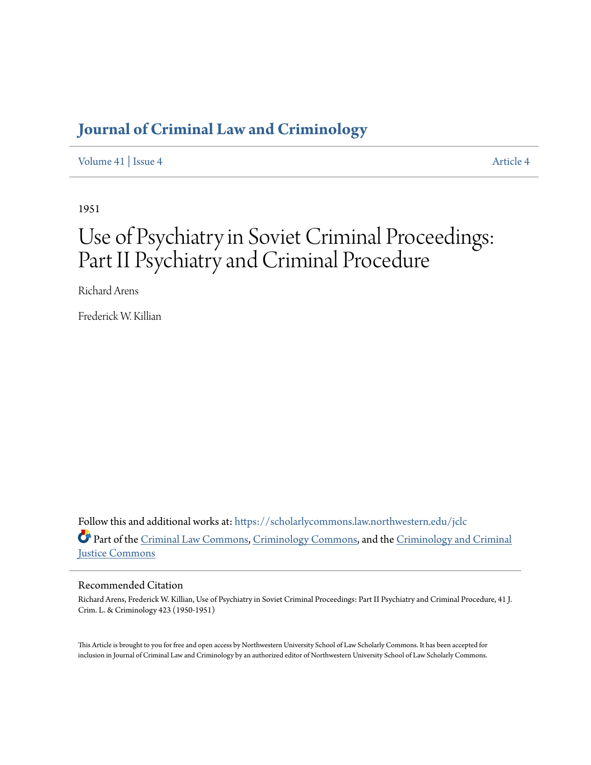# **[Journal of Criminal Law and Criminology](https://scholarlycommons.law.northwestern.edu/jclc?utm_source=scholarlycommons.law.northwestern.edu%2Fjclc%2Fvol41%2Fiss4%2F4&utm_medium=PDF&utm_campaign=PDFCoverPages)**

[Volume 41](https://scholarlycommons.law.northwestern.edu/jclc/vol41?utm_source=scholarlycommons.law.northwestern.edu%2Fjclc%2Fvol41%2Fiss4%2F4&utm_medium=PDF&utm_campaign=PDFCoverPages) | [Issue 4](https://scholarlycommons.law.northwestern.edu/jclc/vol41/iss4?utm_source=scholarlycommons.law.northwestern.edu%2Fjclc%2Fvol41%2Fiss4%2F4&utm_medium=PDF&utm_campaign=PDFCoverPages) [Article 4](https://scholarlycommons.law.northwestern.edu/jclc/vol41/iss4/4?utm_source=scholarlycommons.law.northwestern.edu%2Fjclc%2Fvol41%2Fiss4%2F4&utm_medium=PDF&utm_campaign=PDFCoverPages)

1951

# Use of Psychiatry in Soviet Criminal Proceedings: Part II Psychiatry and Criminal Procedure

Richard Arens

Frederick W. Killian

Follow this and additional works at: [https://scholarlycommons.law.northwestern.edu/jclc](https://scholarlycommons.law.northwestern.edu/jclc?utm_source=scholarlycommons.law.northwestern.edu%2Fjclc%2Fvol41%2Fiss4%2F4&utm_medium=PDF&utm_campaign=PDFCoverPages) Part of the [Criminal Law Commons](http://network.bepress.com/hgg/discipline/912?utm_source=scholarlycommons.law.northwestern.edu%2Fjclc%2Fvol41%2Fiss4%2F4&utm_medium=PDF&utm_campaign=PDFCoverPages), [Criminology Commons](http://network.bepress.com/hgg/discipline/417?utm_source=scholarlycommons.law.northwestern.edu%2Fjclc%2Fvol41%2Fiss4%2F4&utm_medium=PDF&utm_campaign=PDFCoverPages), and the [Criminology and Criminal](http://network.bepress.com/hgg/discipline/367?utm_source=scholarlycommons.law.northwestern.edu%2Fjclc%2Fvol41%2Fiss4%2F4&utm_medium=PDF&utm_campaign=PDFCoverPages) [Justice Commons](http://network.bepress.com/hgg/discipline/367?utm_source=scholarlycommons.law.northwestern.edu%2Fjclc%2Fvol41%2Fiss4%2F4&utm_medium=PDF&utm_campaign=PDFCoverPages)

# Recommended Citation

Richard Arens, Frederick W. Killian, Use of Psychiatry in Soviet Criminal Proceedings: Part II Psychiatry and Criminal Procedure, 41 J. Crim. L. & Criminology 423 (1950-1951)

This Article is brought to you for free and open access by Northwestern University School of Law Scholarly Commons. It has been accepted for inclusion in Journal of Criminal Law and Criminology by an authorized editor of Northwestern University School of Law Scholarly Commons.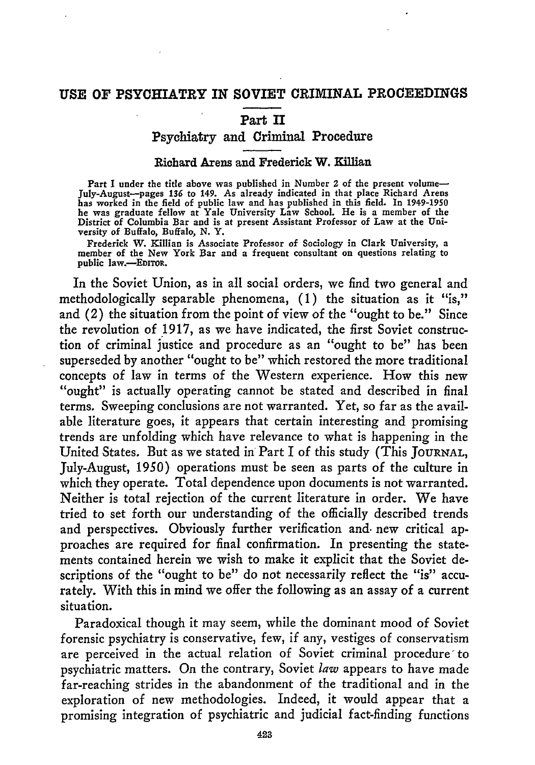# **USE** OF PSYCHIATRY **IN** SOVIET CRIMINAL PROCEEDINGS

# Part **II**

# Psychiatry and Criminal Procedure

#### Richard Arens and Frederick W. Killian

Part I under the title above was published in Number 2 of the present volume-July-August-pages **136** to 149. As already indicated in that place Richard Arens has worked in the field of public law and has published in this field. In **1949-1950** he was graduate fellow at Yale University Law School. He is a member of the District of Columbia Bar and is at present Assistant Professor of Law at the University of Buffalo, Buffalo, **N.** Y.

Frederick W. Killian is Associate Professor of Sociology in Clark University, a member of the New York Bar and a frequent consultant on questions relating to public law.-EDITOR.

In the Soviet Union, as in all social orders, we find two general and methodologically separable phenomena, (1) the situation as it "is," and (2) the situation from the point of view of the "ought to be." Since the revolution of 1917, as we have indicated, the first Soviet construction of criminal justice and procedure as an "ought to be" has been superseded **by** another "ought to be" which restored the more traditional concepts of law in terms of the Western experience. How this new "ought" is actually operating cannot be stated and described in final terms. Sweeping conclusions are not warranted. Yet, so far as the available literature goes, it appears that certain interesting and promising trends are unfolding which have relevance to what is happening in the United States. But as we stated in Part I of this study (This JOURNAL, July-August, 1950) operations must be seen as parts of the culture in which they operate. Total dependence upon documents is not warranted. Neither is total rejection of the current literature in order. We have tried to set forth our understanding of the officially described trends and perspectives. Obviously further verification and. new critical approaches are required for final confirmation. In presenting the statements contained herein we wish to make it explicit that the Soviet descriptions of the "ought to be" do not necessarily reflect the "is" accurately. With this in mind we offer the following as an assay of a current situation.

Paradoxical though it may seem, while the dominant mood of Soviet forensic psychiatry is conservative, few, if any, vestiges of conservatism are perceived in the actual relation of Soviet criminal procedure to psychiatric matters. On the contrary, Soviet *law* appears to have made far-reaching strides in the abandonment of the traditional and in the exploration of new methodologies. Indeed, it would appear that a promising integration of psychiatric and judicial fact-finding functions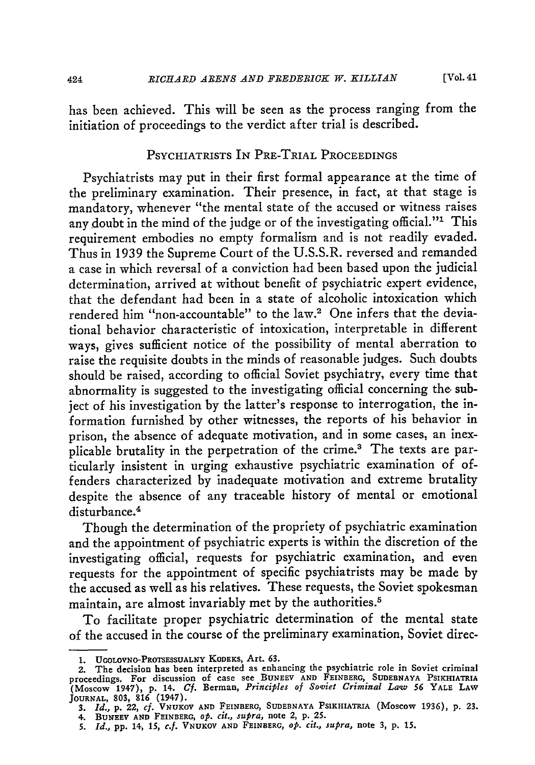has been achieved. This will be seen as the process ranging from the initiation of proceedings to the verdict after trial is described.

# PSYCHIATRISTS IN PRE-TRIAL PROCEEDINGS

Psychiatrists may put in their first formal appearance at the time of the preliminary examination. Their presence, in fact, at that stage is mandatory, whenever "the mental state of the accused or witness raises any doubt in the mind of the judge or of the investigating official."<sup>1</sup> This requirement embodies no empty formalism and is not readily evaded. Thus in 1939 the Supreme Court of the U.S.S.R. reversed and remanded a case in which reversal of a conviction had been based upon the judicial determination, arrived at without benefit of psychiatric expert evidence, that the defendant had been in a state of alcoholic intoxication which rendered him "non-accountable" to the law.2 One infers that the deviational behavior characteristic of intoxication, interpretable in different ways, gives sufficient notice of the possibility of mental aberration to raise the requisite doubts in the minds of reasonable judges. Such doubts should be raised, according to official Soviet psychiatry, every time that abnormality is suggested to the investigating official concerning the subject of his investigation by the latter's response to interrogation, the information furnished by other witnesses, the reports of his behavior in prison, the absence of adequate motivation, and in some cases, an inexplicable brutality in the perpetration of the crime.3 The texts are particularly insistent in urging exhaustive psychiatric examination of offenders characterized by inadequate motivation and extreme brutality despite the absence of any traceable history of mental or emotional disturbance.<sup>4</sup>

Though the determination of the propriety of psychiatric examination and the appointment of psychiatric experts is within the discretion of the investigating official, requests for psychiatric examination, and even requests for the appointment of specific psychiatrists may be made by the accused as well as his relatives. These requests, the Soviet spokesman maintain, are almost invariably met by the authorities.5

To facilitate proper psychiatric determination of the mental state of the accused in the course of the preliminary examination, Soviet direc-

**<sup>1.</sup>** UGOLOVNO-PROTSESSUALNY KODEKS, Art. **63.** 2. The decision has been interpreted as enhancing the psychiatric role in Soviet criminal proceedings. For discussion of case see BUNEEV AND FEINBERG, SUDEBNAYA PSIKHIATRIA (Moscow 1947), p. 14. Cf. Berman, *Principles of Soviet Criminal Law 56* YALE LAW JOURNAL, 803, 816 (1947).<br>JOURNAL, 803, 816 (1947).<br>3. Id

*<sup>5.</sup> Id.,* **pp.** 14, *15, c.f.* **VNUKOV AND FEINBERG,** *op. cit., supra,* note **3, p. 15.**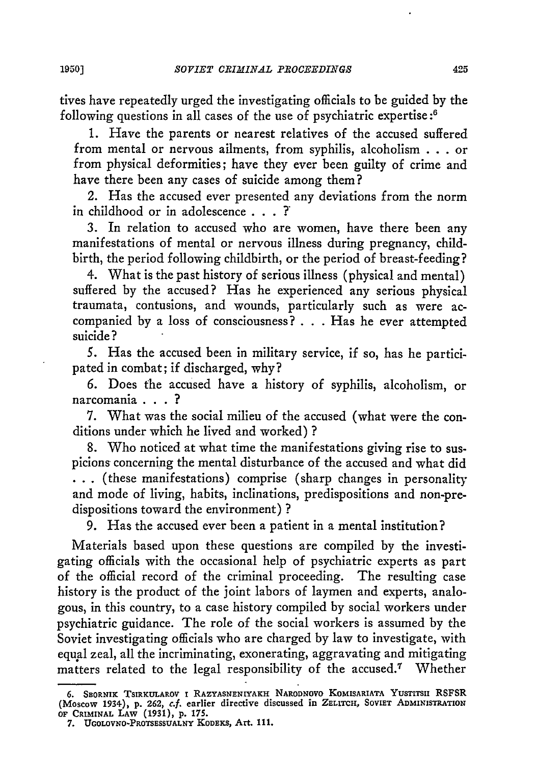tives have repeatedly urged the investigating officials to be guided by the following questions in all cases of the use of psychiatric expertise **:"**

1. Have the parents or nearest relatives of the accused suffered from mental or nervous ailments, from syphilis, alcoholism . . . or from physical deformities; have they ever been guilty of crime and have there been any cases of suicide among them?

2. Has the accused ever presented any deviations from the norm in childhood or in adolescence  $\ldots$  ?

3. In relation to accused who are women, have there been any manifestations of mental or nervous illness during pregnancy, childbirth, the period following childbirth, or the period of breast-feeding?

4. What is the past history of serious illness (physical and mental) suffered by the accused? Has he experienced any serious physical traumata, contusions, and wounds, particularly such as were accompanied by a loss of consciousness? . . . Has he ever attempted suicide **?**

*5.* Has the accused been in military service, if so, has he participated in combat; if discharged, why?

6. Does the accused have a history of syphilis, alcoholism, or narcomania . . . **?**

7. What was the social milieu of the accused (what were the conditions under which he lived and worked) **?**

8. Who noticed at what time the manifestations giving rise to suspicions concerning the mental disturbance of the accused and what did **. ..** (these manifestations) comprise (sharp changes in personality and mode of living, habits, inclinations, predispositions and non-predispositions toward the environment) **?**

9. Has the accused ever been a patient in a mental institution?

Materials based upon these questions are compiled by the investigating officials with the occasional help of psychiatric experts as part of the official record of the criminal proceeding. The resulting case history is the product of the joint labors of laymen and experts, analogous, in this country, to a case history compiled by social workers under psychiatric guidance. The role of the social workers is assumed by the Soviet investigating officials who are charged by law to investigate, with equal zeal, all the incriminating, exonerating, aggravating and mitigating matters related to the legal responsibility of the accused.7 Whether

<sup>6.</sup> SBORNIK TSIRKULAROV I RAZYASNENIYAKH NARODNOVO KOMISARIATA YUSTITSII RSFSR<br>(Moscow 1934), p. 262, c.f. earlier directive discussed in ZELITCH, SOVIET ADMINISTRATION **OF** CRIMINAL **LAW (1931), p. 175. 7. UGOLOVNO-PROTSESSUALNY KODEKS, Art. 111.**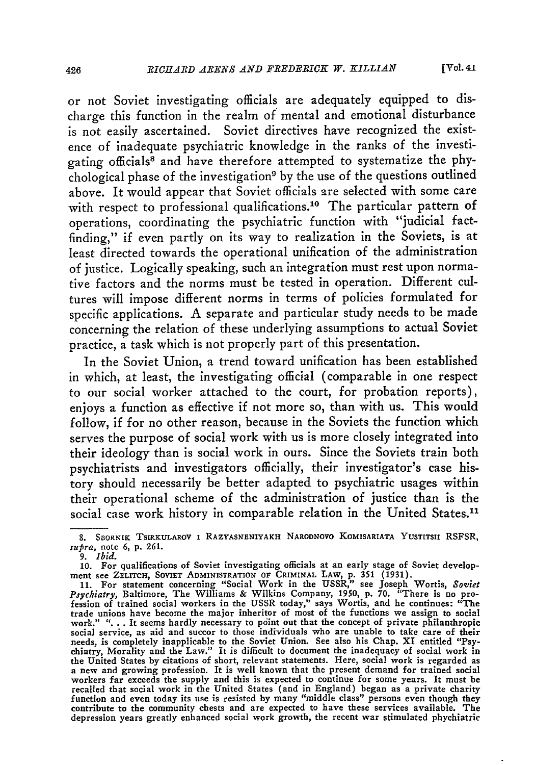[Vol. **41**

or not Soviet investigating officials are adequately equipped to discharge this function in the realm of mental and emotional disturbance is not easily ascertained. Soviet directives have recognized the existence of inadequate psychiatric knowledge in the ranks of the investigating officials" and have therefore attempted to systematize the phychological phase of the investigation' by the use of the questions outlined above. It would appear that Soviet officials are selected with some care with respect to professional qualifications.<sup>10</sup> The particular pattern of operations, coordinating the psychiatric function with "judicial factfinding," if even partly on its way to realization in the Soviets, is at least directed towards the operational unification of the administration of justice. Logically speaking, such an integration must rest upon normative factors and the norms must be tested in operation. Different cultures will impose different norms in terms of policies formulated for specific applications. A separate and particular study needs to be made concerning the relation of these underlying assumptions to actual Soviet practice, a task which is not properly part of this presentation.

In the Soviet Union, a trend toward unification has been established in which, at least, the investigating official (comparable in one respect to our social worker attached to the court, for probation reports), enjoys a function as effective if not more so, than with us. This would follow, if for no other reason, because in the Soviets the function which serves the purpose of social work with us is more closely integrated into their ideology than is social work in ours. Since the Soviets train both psychiatrists and investigators officially, their investigator's case history should necessarily be better adapted to psychiatric usages within their operational scheme of the administration of justice than is the social case work history in comparable relation in the United States.<sup>11</sup>

**<sup>8.</sup> SBORNIK TSIRKULAROV I RAZYASNENIYAKH** NARODNOVO **KOMISARIATA YUSTITSII** RSFSR, *supra,* note **6, p. 261.**

*<sup>9.</sup> Ibid.*

<sup>10.</sup> For qualifications of Soviet investigating officials at an early stage of Soviet development see ZELITCH, SOVIET ADMINISTRATION OF CRIMINAL LAW, p. 351 (1931).<br>11. For statement concerning "Social Work in the USSR," se

Psychiatry, Baltimore, The Williams & Wilkins Company, 1950, p. 70. <sup>t</sup>There is no pro-<br>fession of trained social workers in the USSR today," says Wortis, and he continues: "The<br>trade unions have become the major inheritor work." "... It seems hardly necessary to point out that the concept of private philanthropic social service, as aid and succor to those individuals who are unable to take care of their needs, is completely inapplicable to the Soviet Union. See also his Chap. XI entitled "Psychiatry, Morality and the Law." It is difficult to document the inadequacy of social work in<br>the United States by citations of short, relevant statements. Here, social work is regarded as<br>a new and growing profession. It i workers far exceeds the supply and this is expected to continue for some years. It must be recalled that social work in the United States (and in England) began as a private charity<br>function and even today its use is resisted by many "middle class" persons even though they<br>contribute to the community chests and depression years greatly enhanced social work growth, the recent war stimulated phychiatric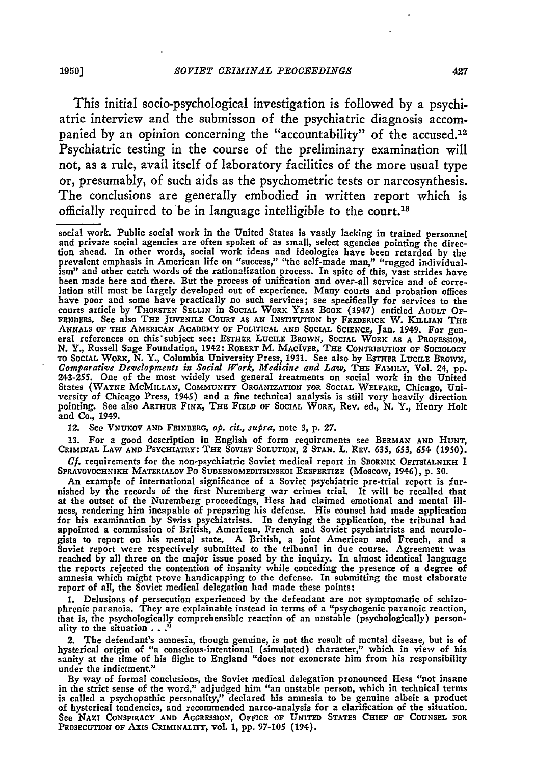This initial socio-psychological investigation is followed by a psychiatric interview and the submisson of the psychiatric diagnosis accompanied by an opinion concerning the "accountability" of the accused.<sup>12</sup> Psychiatric testing in the course of the preliminary examination will not, as a rule, avail itself of laboratory facilities of the more usual type or, presumably, of such aids as the psychometric tests or narcosynthesis. The conclusions are generally embodied in written report which is officially required to be in language intelligible to the court.<sup>13</sup>

12. See **VNUKOV AND** FEINBERG, *op. cit., supra,* note **3, p. 27.**

**13.** For a good description in English of form requirements see BERMAN **AND** HUNT, CRIMINAL LAW **AND** PSYCHIATRY: THE **SOVIET** SOLUTION, 2 **STAN.** L. **REV.** *635, 653,* 654 **(1950).**

*Cf.* requirements for the non-psychiatric Soviet medical report in SBORNIK OFITSIALNIKH I SPRAVOVOCHNIKH MATERIALOV PO SUDEBNOMEDITSINSKOI EKSPERTIZE (Moscow, 1946), **p. 30.**

An example of international significance of a Soviet psychiatric pre-trial report is furnished **by** the records of the first Nuremberg war crimes trial. It will be recalled that at the outset of the Nuremberg proceedings, Hess had claimed emotional and mental illness, rendering him incapable of preparing his defense. His counsel had made application for his examination **by** Swiss psychiatrists. In denying the application, the tribunal had appointed a commission of British, American, French and Soviet psychiatrists and neurolo-gists to report on his mental state. A British, a joint American and French, and a Soviet report were respectively submitted to the tribunal in due course. Agreement was reached **by** all three on the major issue posed **by** the inquiry. In almost identical language reached by all three on the major issue posed by the inquiry. In almost identical language the reports rejected the contention of insanity while conceding the presence of a degree of amnesia which might prove handicapping to the defense. In submitting the most elaborate report of all, the Soviet medical delegation had made these points:

**1.** Delusions of persecution experienced **by** the defendant are not symptomatic of schizo-phrenic paranoia. They are explainable instead in terms of a "psychogenic paranoic reaction, that is, the psychologically comprehensible reaction of an unstable (psychologically) personality to the situation **..."**

2. The defendant's amnesia, though genuine, is not the result of mental disease, **but** is of hysterical origin of "a conscious-intentional (simulated) character," which in view of his sanity at the time of his flight to England "does not exonerate him from his responsibility under the indictment."

**By** way of formal conclusions, the Soviet medical delegation pronounced Hess "not insane in the strict sense of the word," adjudged him "an unstable person, which in technical terms is called a psychopathic personality," declared his amnesia to be genuine albeit a product of hysterical tendencies, and recommen **See NAZI** CONSPIRACY **AND AGGRESSION,** OFFICE OF UNITED **STATES CHIEF** OF **COUNSEL** FOR PROSECUTION OF AXIS CRIMINALITY, vol. **1, pp. 97-105** (194).

social work. Public social work in the United States is vastly lacking in trained personnel and private social agencies are often spoken of as small, select agencies pointing the direction ahead. In other words, social work ideas and ideologies have been retarded **by** the prevalent emphasis in American life on "success," "the self-made man," "rugged individualism" and other catch words of the rationalization process. In spite of this, vast strides have been made here and there. But the process of unification and over-all service and of correlation still must be largely developed out of experience. Many courts and probation offices<br>have poor and some have practically no such services; see specifically for services to the<br>courts article by THORSTEN SELLIN in SO ANNALS OF THE AMERICAN **ACADEMY** OF POLITICAL **AND SOCIAL SCIENCE,** Jan. 1949. For general references on this'subject see: ESTHER **LUCILE** BROWN, **SOCIAL** WORK **AS A** PROFESSION, **N.** Y., Russell Sage Foundation, 1942: ROBERT M. MACIvER, THE CONTRIBUTION OF SOCIOLOGY TO SOCIAL WORK, **N.** Y., Columbia University Press, **1931.** See also **by** ESTHER LUCILE BROWN, *Comparative Devteloprments in Social Work, Medicine and Law,* THE FAMILY, Vol. 24, **pp. 243-255.** One of the most widely used general treatments on social work in the United States (WAYNE **MCMILLAN,** COMMUNITY ORGANIZATION FOR **SOCIAL** WELFARE, Chicago, University of Chicago Press, 1945) and a fine technical analysis is still very heavily direction pointing. See also ARTHUR FINK, THE FIELD OF SOCIAL WORK, Rev. ed., N. Y., Henry Holt and Co., 1949.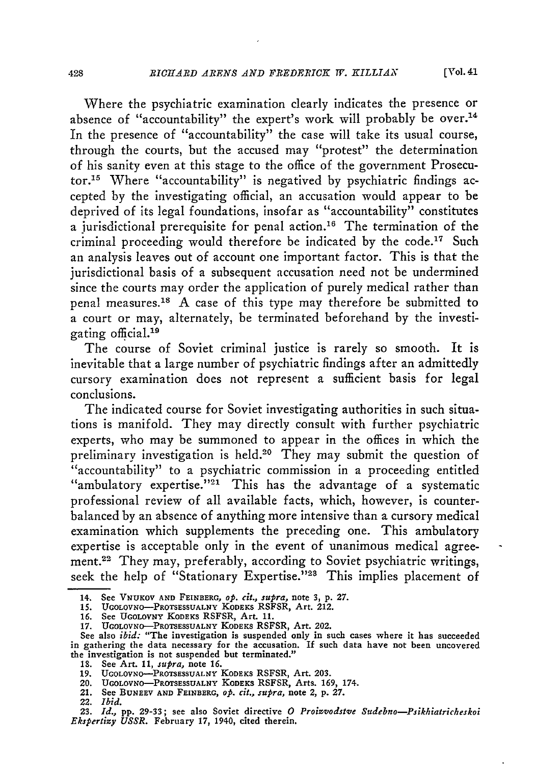**[Vol.** 41

Where the psychiatric examination clearly indicates the presence or absence of "accountability" the expert's work will probably be over.<sup>14</sup> In the presence of "accountability" the case will take its usual course, through the courts, but the accused may "protest" the determination of his sanity even at this stage to the office of the government Prosecutor.'5 Where "accountability" is negatived by psychiatric findings accepted **by** the investigating official, an accusation would appear to be deprived of its legal foundations, insofar as "accountability" constitutes a jurisdictional prerequisite for penal action.<sup>16</sup> The termination of the criminal proceeding would therefore be indicated by the code.<sup>17</sup> Such an analysis leaves out of account one important factor. This is that the jurisdictional basis of a subsequent accusation need not be undermined since the courts may order the application of purely medical rather than penal measures.<sup>18</sup> A case of this type may therefore be submitted to a court or may, alternately, be terminated beforehand by the investigating official.<sup>19</sup>

The course of Soviet criminal justice is rarely so smooth. It is inevitable that a large number of psychiatric findings after an admittedly cursory examination does not represent a sufficient basis for legal conclusions.

The indicated course for Soviet investigating authorities in such situations is manifold. They may directly consult with further psychiatric experts, who may be summoned to appear in the offices in which the preliminary investigation is held.<sup>20</sup> They may submit the question of ''accountability" to a psychiatric commission in a proceeding entitled "ambulatory expertise."<sup>21</sup> This has the advantage of a systematic professional review of all available facts, which, however, is counterbalanced **by** an absence of anything more intensive than a cursory medical examination which supplements the preceding one. This ambulatory expertise is acceptable only in the event of unanimous medical agreement.22 They may, preferably, according to Soviet psychiatric writings, seek the help of "Stationary Expertise."<sup>23</sup> This implies placement of

<sup>14.</sup> See VNUKOV AND FEINBERG, op. cit., supra, note 3, p. 27.<br>15. UGOLOVNO—PROTSESSUALNY KODEKS RSFSR, Art. 212.<br>16. See UGOLOVNY KODEKS RSFSR, Art. 11.<br>17. UGOLOVNO—PROTSESSUALNY KODEKS RSFSR, Art. 202.

**See** also *ibid:* "The investigation is **suspended only in** such cases **where it** has succeeded **in gathering the data necessary for the accusation.** If **such** data have **not been uncovered** the investigation **is not suspended but terminated."**

**<sup>18.</sup>** See **Art. 11,** *supra,* note **16. 19. UGOLOVNO-PROTSESSUALNY KODEKs** RSFSR, **Art. 203.**

**<sup>20.</sup> UGOLOVNO-PROTSESSUALNY KODEKS** RSFSR, **Arts. 169, 174. 21.** See **BUNEEV AND** FEINBERG, *op. cit., supra,* note **2, p. 27.**

**<sup>22.</sup>** *Ibid.*

**<sup>23.</sup>** *Id.,* **pp. 29-33; see also Soviet directive** *0 Proizvodstqve Sudebno-Psikhiatricheskoi Ekspertizy USSR.* **February 17, 1940, cited therein.**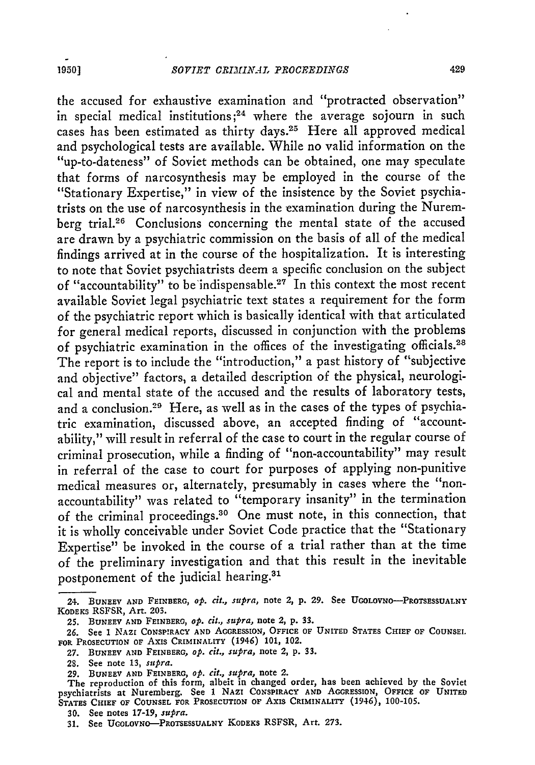the accused for exhaustive examination and "protracted observation" in special medical institutions;<sup>24</sup> where the average sojourn in such cases has been estimated as thirty days. 25 Here all approved medical and psychological tests are available. While no valid information on the "up-to-dateness" of Soviet methods can be obtained, one may speculate that forms of narcosynthesis may be employed in the course of the "Stationary Expertise," in view of the insistence by the Soviet psychiatrists on the use of narcosynthesis in the examination during the Nuremberg trial.<sup>26</sup> Conclusions concerning the mental state of the accused are drawn by a psychiatric commission on the basis of all of the medical findings arrived at in the course of the hospitalization. It is interesting to note that Soviet psychiatrists deem a specific conclusion on the subject of "accountability" to be indispensable.<sup>27</sup> In this context the most recent available Soviet legal psychiatric text states a requirement for the form of the psychiatric report which is basically identical with that articulated for general medical reports, discussed in conjunction with the problems of psychiatric examination in the offices of the investigating officials.28 The report is to include the "introduction," a past history of "subjective and objective" factors, a detailed description of the physical, neurological and mental state of the accused and the results of laboratory tests, and a conclusion.29 Here, as well as in the cases of the types of psychiatric examination, discussed above, an accepted finding of "accountability," will result in referral of the case to court in the regular course of criminal prosecution, while a finding of "non-accountability" may result in referral of the case to court for purposes of applying non-punitive medical measures or, alternately, presumably in cases where the "nonaccountability" was related to "temporary insanity" in the termination of the criminal proceedings.30 One must note, in this connection, that it is wholly conceivable under Soviet Code practice that the "Stationary Expertise" be invoked in the course of a trial rather than at the time of the preliminary investigation and that this result in the inevitable postponement of the judicial hearing.3'

**<sup>24.</sup> BUNEEV AND** FEINBERO, *OP. cit., supra,* **note** 2, **p. 29.** See **UGOLOVNO-PROTSESSUALNY KODEKS** RSFSR, **Art. 203.**

**<sup>25.</sup> BUNEEV AND** FEINBERG, *Op. cit., supra,* **note** 2, **p. 33.**

**<sup>26.</sup> See 1 NAZI CONSP!RACY AND** AGGRESSION, **OFFICE OF UNITED STATES CHIEF** OF **COUNSEL FOR PROSECUTION** OF AXIS CRIMINALITY (1946) **101, 102.**

**<sup>27.</sup> BUNEEV AND** FEINBERG, *op. cit., supra,* **note** 2, **p. 33.**

**<sup>28.</sup> See note 13,** *supra.*

**<sup>29.</sup> BUNEEV AND** FEINEERG, *op. cit., supra,* **note 2.**

**The reproduction of this form, albeit in changed order, has been achieved by the Soviet psychiatrists at Nuremberg. See I NAZI CONSPIRACY AND AGGRESSION, OFFICE OF UNITED STATES CHIEF OF COUNSEL FOR** PROSECUTION **OF Axis** CRIMINALITY (1946), **100-105.**

**<sup>30.</sup> See notes 17-19,** *supra.*

**<sup>31.</sup> See UGOLOVNO-PROTSESSUALNY KODEKS RSFSR, Art. 273.**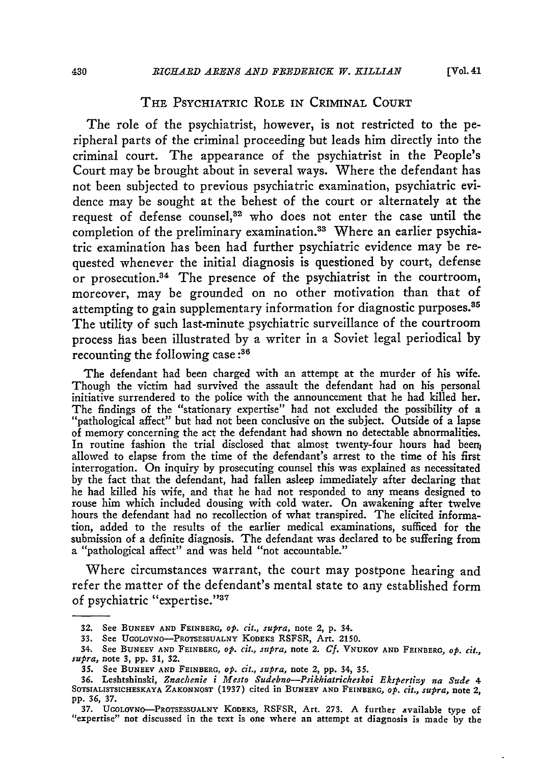# THE PSYCHIATRIC ROLE IN CRIMINAL COURT

The role of the psychiatrist, however, is not restricted to the peripheral parts of the criminal proceeding but leads him directly into the criminal court. The appearance of the psychiatrist in the People's Court may be brought about in several ways. Where the defendant has not been subjected to previous psychiatric examination, psychiatric evidence may be sought at the behest of the court or alternately at the request of defense counsel,<sup>32</sup> who does not enter the case until the completion of the preliminary examination.<sup>33</sup> Where an earlier psychiatric examination has been had further psychiatric evidence may be requested whenever the initial diagnosis is questioned by court, defense or prosecution.<sup>34</sup> The presence of the psychiatrist in the courtroom, moreover, may be grounded on no other motivation than that of attempting to gain supplementary information for diagnostic purposes.<sup>35</sup> The utility of such last-minute psychiatric surveillance of the courtroom process has been illustrated by a writer in a Soviet legal periodical by recounting the following case **:36**

The defendant had been charged with an attempt at the murder of his wife. Though the victim had survived the assault the defendant had on his personal initiative surrendered to the police with the announcement that he had killed her.<br>The findings of the "stationary expertise" had not excluded the possibility of a "pathological affect" but had not been conclusive on the subject. Outside of a lapse of memory concerning the act the defendant had shown no detectable abnormalities. In routine fashion the trial disclosed that almost twenty-four hours had been, allowed to elapse from the time of the defendant's arrest to the time of his first interrogation. On inquiry by prosecuting counsel this was explained as necessitated by the fact that the defendant, had fallen asleep immediately after declaring that he had killed his wife, and that he had not responded to any means designed to rouse him which included dousing with cold water. On awakening after twelve hours the defendant had no recollection of what transpired. The elicited information, added to the results of the earlier medical examinations, sufficed for the submission of a definite diagnosis. The defendant was declared to be suffering from a "pathological affect" and was held "not accountable."

Where circumstances warrant, the court may postpone hearing and refer the matter of the defendant's mental state to any established form of psychiatric "expertise."37

**<sup>32.</sup>** See **BUNEEV AND** FEINBERG, *Op. cit., supra,* note 2, **p.** 34.

**<sup>33.</sup>** See UGOLOVNO-PROrSESSUALNY **KODEKs** RSFSR, Art. 2150.

*<sup>34.</sup>* See **BUNEEV AND** FEINBERG, *Op. cit., supra,* note 2. *Cf.* **VNUKOV AND** FEINBERO, *Op. Cit., supra,* note 3, **pp. 31, 32.**

*<sup>35.</sup>* See **BUNEEV AND** FEINBERG, *Op. cit., supra,* note 2, pp. 34, 35.

<sup>36.</sup> Leshtshinski, Znachenie i Mesto Sudebno-Psikhiatricheskoi Ekspertizy na Sude 4 SOTSIALISTSICHESKAYA **ZAKONNOST** (1937) cited in **BUNEEV AND** FEINBERO, *Op. cit., supra,* note 2, pp. 36, 37.

<sup>37.</sup> UGOLOVNO--PRoTSESSUALNY KODEKs, RSFSR, Art. 273. A further available type of "expertise" not discussed in the text is one where an attempt at diagnosis is made **by** the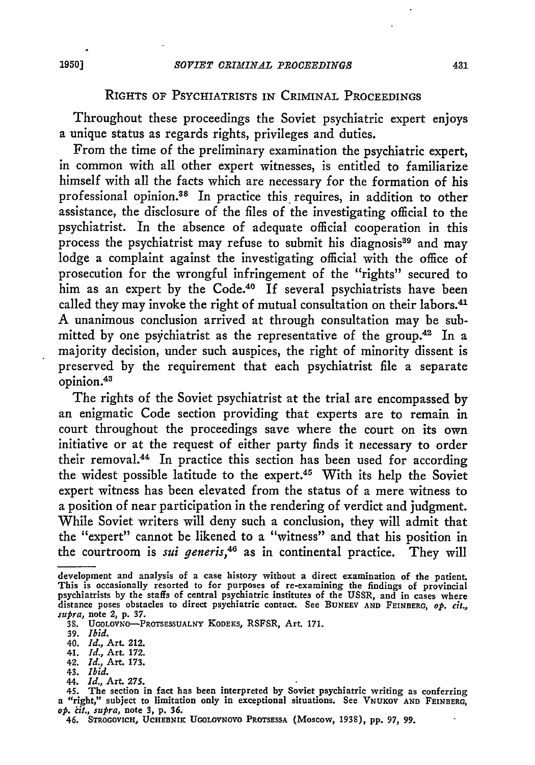# RIGHTS OF PSYCHIATRISTS IN CRIMINAL PROCEEDINGS

Throughout these proceedings the Soviet psychiatric expert enjoys a unique status as regards rights, privileges and duties.

From the time of the preliminary examination the psychiatric expert, in common with all other expert witnesses, is entitled to familiarize himself with all the facts which are necessary for the formation of his professional opinion.<sup>38</sup> In practice this requires, in addition to other assistance, the disclosure of the files of the investigating official to the psychiatrist. In the absence of adequate official cooperation in this process the psychiatrist may refuse to submit his diagnosis<sup>39</sup> and may lodge a complaint against the investigating official with the office of prosecution for the wrongful infringement of the "rights" secured to him as an expert by the Code.<sup>40</sup> If several psychiatrists have been called they may invoke the right of mutual consultation on their labors.<sup>41</sup> A unanimous conclusion arrived at through consultation may be submitted by one psychiatrist as the representative of the group.42 In a majority decision, under such auspices, the right of minority dissent is preserved by the requirement that each psychiatrist file a separate opinion.<sup>43</sup>

The rights of the Soviet psychiatrist at the trial are encompassed by an enigmatic Code section providing that experts are to remain in court throughout the proceedings save where the court on its own initiative or at the request of either party finds it necessary to order their removal.44 In practice this section has been used for according the widest possible latitude to the expert. 45 With its help the Soviet expert witness has been elevated from the status of a mere witness to a position of near participation in the rendering of verdict and judgment. While Soviet writers will deny such a conclusion, they will admit that the "expert" cannot be likened to a "witness" and that his position in the courtroom is *sui generis,46* as in continental practice. They will

development and analysis of a case history without a direct examination of the patient.<br>This is occasionally resorted to for purposes of re-examining the findings of provincial<br>psychiatrists by the staffs of central psychi distance poses obstacles to direct psychiatric contact. See **BUNEEV AND FEINBERG,** *op. cir., supra,* note 2, **p. 37.**

**<sup>5</sup>S. UGOLOVNO-PROTSESSUALNY KODEKS,** RSFSR, Art. **171.**

**<sup>39.</sup>** *Ibid.*

<sup>40.</sup> *Id.,* Art. 212. 41. *Id.,* Art. **172.**

<sup>42.</sup> *Id.,* Art. **173.** 43. *Ibid.*

<sup>44.</sup> *Id.,* Art. **275.** a "right," subject to limitation only in exceptional situations. See VNUKOV AND FEINBERG, *op. it., supra,* note 3, p. **36.** 46. STROcOVICH, UCHEBNIK **UcOLOVNOVO PROTSESSA** (Moscow, 1938), pp. 97, 99.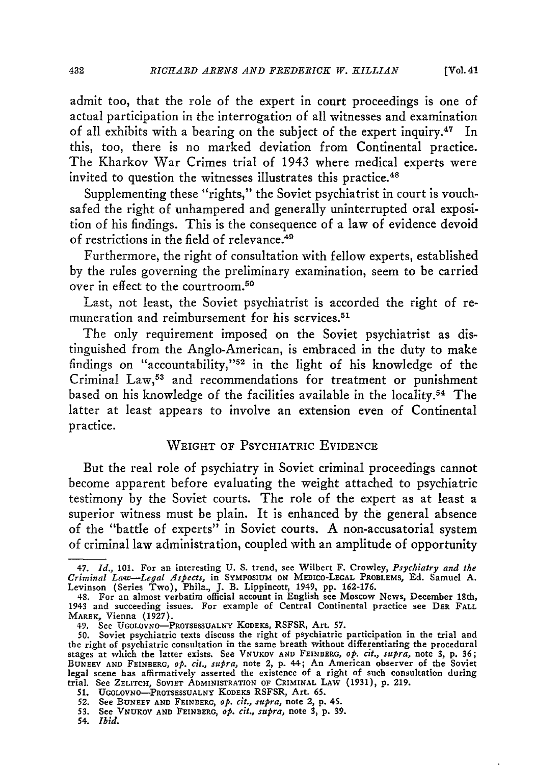admit too, that the role of the expert in court proceedings is one of actual participation in the interrogation of all witnesses and examination of all exhibits with a bearing on the subject of the expert inquiry.47 In this, too, there is no marked deviation from Continental practice. The Kharkov War Crimes trial of 1943 where medical experts were invited to question the witnesses illustrates this practice.<sup>4</sup>

Supplementing these "rights," the Soviet psychiatrist in court is vouchsafed the right of unhampered and generally uninterrupted oral exposition of his findings. This is the consequence of a law of evidence devoid of restrictions in the field of relevance.<sup>49</sup>

Furthermore, the right of consultation with fellow experts, established by the rules governing the preliminary examination, seem to be carried over in effect to the courtroom. <sup>50</sup>

Last, not least, the Soviet psychiatrist is accorded the right of remuneration and reimbursement for his services.<sup>51</sup>

The only requirement imposed on the Soviet psychiatrist as distinguished from the Anglo-American, is embraced in the duty to make findings on "accountability,"<sup>52</sup> in the light of his knowledge of the Criminal Law,<sup>53</sup> and recommendations for treatment or punishment based on his knowledge of the facilities available in the locality.54 The latter at least appears to involve an extension even of Continental practice.

# WEIGHT OF PSYCHIATRIC EVIDENCE

But the real role of psychiatry in Soviet criminal proceedings cannot become apparent before evaluating the weight attached to psychiatric testimony by the Soviet courts. The role of the expert as at least a superior witness must be plain. It is enhanced by the general absence of the "battle of experts" in Soviet courts. A non-accusatorial system of criminal law administration, coupled with an amplitude of opportunity

<sup>47.</sup> Id., 101. For an interesting U. S. trend, see Wilbert F. Crowley, Psychiatry and the Criminal Law-Legal Aspects, in SYMPOSIUM ON MEDICO-LEGAL PROBLEMS, Ed. Samuel A. Levinson (Series Two), Phila., J. B. Lippincott, 194

<sup>48.</sup> For an almost verbatim official account in English see Moscow News, December 18th, 1943 and succeeding issues. For example of Central Continental practice see DER FALL MAREK, Vienna (1927). 49. See **UGOLOVNO-PROTSESsUALNY** KODEKS, RSFSR, Art. **57. 50.** Soviet psychiatric texts discuss the right of psychiatric participation in the trial and

the right of psychiatric consultation in the same breath without differentiating the procedural stages at which the latter exists. See VNUKOV **AND** FEINBERG, *op. cit., supra,* note **3, p.** 36; BUNEEV AND FEINBERG, op. cit., supra, note 2, p. 44; An American observer of the Soviet legal scene has affirmatively asserted the existence of a right of such consultation during<br>trial. See ZELITCH, SOVIET ADMINISTRATION

<sup>51.</sup> UGOLOVNO—PROTSESSUALNY KODEKS RSFSR, Art. 65.<br>52. See BUNEEV AND FEINBERG, op. cit., supra, note 2, p. 45.<br>53. See VNUKOV AND FEINBERG, op. cit., supra, note 3, p. 39.

<sup>54.</sup> *Ibid.*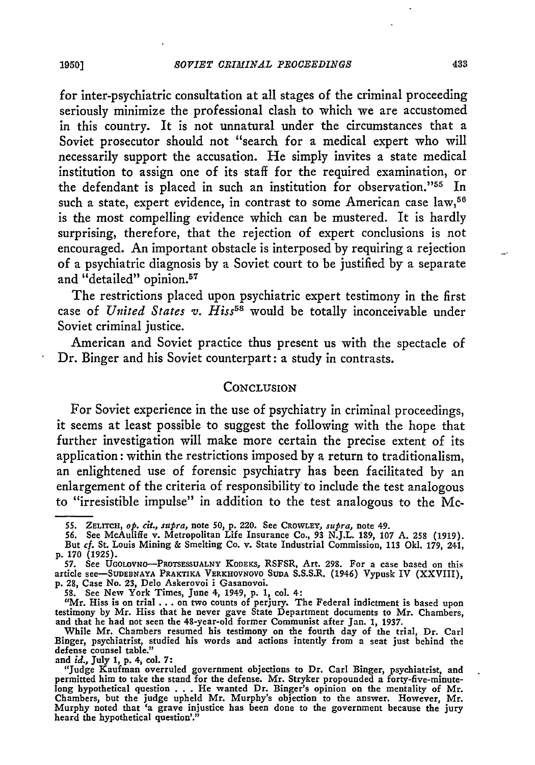for inter-psychiatric consultation at all stages of the criminal proceeding seriously minimize the professional clash to which we are accustomed in this country. It is not unnatural under the circumstances that a Soviet prosecutor should not "search for a medical expert who will necessarily support the accusation. He simply invites a state medical institution to assign one of its staff for the required examination, or the defendant is placed in such an institution for observation."<sup>55</sup> In such a state, expert evidence, in contrast to some American case law,<sup>56</sup> is the most compelling evidence which can be mustered. It is hardly surprising, therefore, that the rejection of expert conclusions is not encouraged. An important obstacle is interposed by requiring a rejection of a psychiatric diagnosis by a Soviet court to be justified by a separate and "detailed" opinion.<sup>57</sup>

The restrictions placed upon psychiatric expert testimony in the first case of *United States v. Hiss58* would be totally inconceivable under Soviet criminal justice.

American and Soviet practice thus present us with the spectacle of Dr. Binger and his Soviet counterpart: a study in contrasts.

#### **CONCLUSION**

For Soviet experience in the use of psychiatry in criminal proceedings, it seems at least possible to suggest the following with the hope that further investigation will make more certain the precise extent of its application: within the restrictions imposed **by** a return to traditionalism, an enlightened use of forensic psychiatry has been facilitated **by** an enlargement of the criteria of responsibility to include the test analogous to "irresistible impulse" in addition to the test analogous to the Mc-

and *id.,* July **1, p.** 4, col. **7:**

**1950]**

*<sup>55.</sup>* **ZELITCH,** *op. cit., supra,* note **50, p.** 220. See CROWLEY, *supra,* note 49.

<sup>56.</sup> See McAuliffe v. Metropolitan Life Insurance Co., 93 N.J.L. 189, 107 A. 258 (1919)<br>But cf. St. Louis Mining & Smelting Co. v. State Industrial Commission, 113 Okl. 179, 241<br>p. 170 (1925).<br>57. See UGOLOVNO—PROTSESSUALNY

article **see-SUEBNAYA PRAKTIKA** VERKHOVNOVO **SUDA S.S.S.R.** (1946) Vypusk IV (XXVIII), **p.** 28, Case No. **23,** Delo Askerovoi i Gasanovoi.

<sup>58.</sup> See New York Times, June 4, 1949, p. 1, col. 4:<br>"Mr. Hiss is on trial . . . on two counts of perjury. The Federal indictment is based upor<br>testimony by Mr. Hiss that he never gave State Department documents to Mr. Cham

and that he had not seen the 48-year-old former Communist after Jan. 1, 1937.<br>While Mr. Chambers resumed his testimony on the fourth day of the trial, Dr. Carl<br>Binger, psychiatrist, studied his words and actions intently f defense counsel table."

<sup>&</sup>quot;Judge Kaufman overruled government objections to Dr. Carl Binger, psychiatrist, and<br>permitted him to take the stand for the defense. Mr. Stryker propounded a forty-five-minute-<br>long hypothetical question . . . He wanted D Chambers, but the judge upheld Mr. Murphy's objection to the answer. However, Mr. Murphy noted that 'a grave injustice has been done to the government because the jury heard the hypothetical question'."